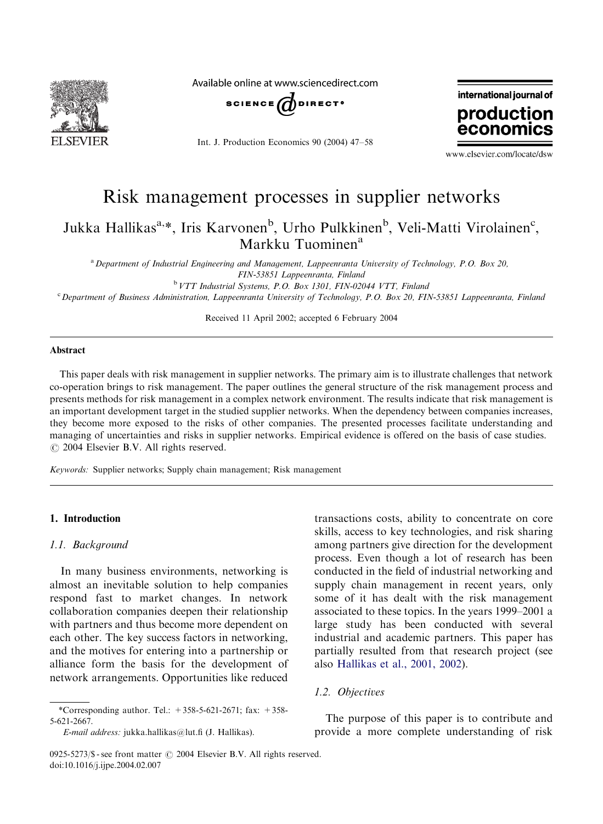

Available online at www.sciencedirect.com



Int. J. Production Economics 90 (2004) 47–58



www.elsevier.com/locate/dsw

# Risk management processes in supplier networks

Jukka Hallikas<sup>a,</sup>\*, Iris Karvonen<sup>b</sup>, Urho Pulkkinen<sup>b</sup>, Veli-Matti Virolainen<sup>c</sup>, Markku Tuominen<sup>a</sup>

<sup>a</sup> Department of Industrial Engineering and Management, Lappeenranta University of Technology, P.O. Box 20, FIN-53851 Lappeenranta, Finland <sup>b</sup>VTT Industrial Systems, P.O. Box 1301, FIN-02044 VTT, Finland

<sup>c</sup> Department of Business Administration, Lappeenranta University of Technology, P.O. Box 20, FIN-53851 Lappeenranta, Finland

Received 11 April 2002; accepted 6 February 2004

#### Abstract

This paper deals with risk management in supplier networks. The primary aim is to illustrate challenges that network co-operation brings to risk management. The paper outlines the general structure of the risk management process and presents methods for risk management in a complex network environment. The results indicate that risk management is an important development target in the studied supplier networks. When the dependency between companies increases, they become more exposed to the risks of other companies. The presented processes facilitate understanding and managing of uncertainties and risks in supplier networks. Empirical evidence is offered on the basis of case studies.  $\odot$  2004 Elsevier B.V. All rights reserved.

Keywords: Supplier networks; Supply chain management; Risk management

### 1. Introduction

#### 1.1. Background

In many business environments, networking is almost an inevitable solution to help companies respond fast to market changes. In network collaboration companies deepen their relationship with partners and thus become more dependent on each other. The key success factors in networking, and the motives for entering into a partnership or alliance form the basis for the development of network arrangements. Opportunities like reduced

transactions costs, ability to concentrate on core skills, access to key technologies, and risk sharing among partners give direction for the development process. Even though a lot of research has been conducted in the field of industrial networking and supply chain management in recent years, only some of it has dealt with the risk management associated to these topics. In the years 1999–2001 a large study has been conducted with several industrial and academic partners. This paper has partially resulted from that research project (see also [Hallikas et al., 2001, 2002\)](#page--1-0).

# 1.2. Objectives

The purpose of this paper is to contribute and provide a more complete understanding of risk

<sup>\*</sup>Corresponding author. Tel.:  $+358-5-621-2671$ ; fax:  $+358-$ 5-621-2667.

E-mail address: jukka.hallikas@lut.fi (J. Hallikas).

<sup>0925-5273/\$ -</sup> see front matter  $\odot$  2004 Elsevier B.V. All rights reserved. doi:10.1016/j.ijpe.2004.02.007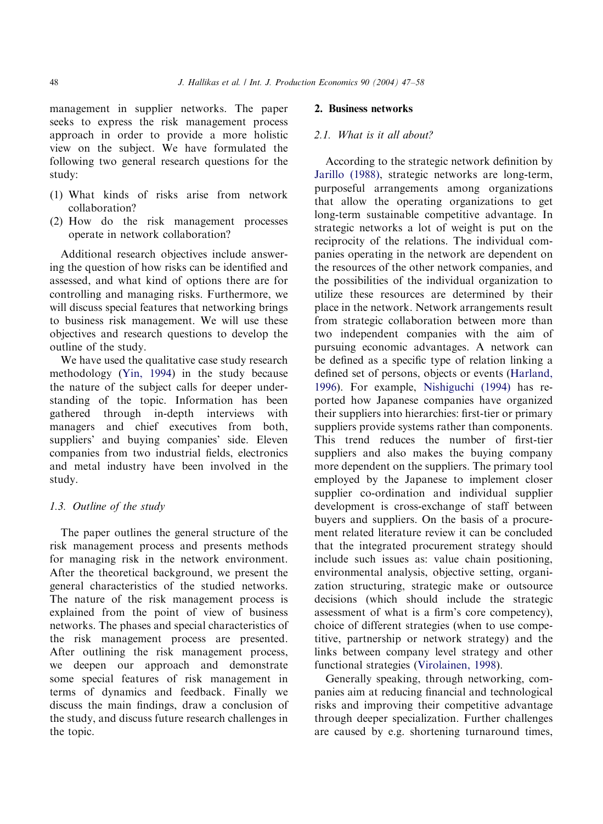management in supplier networks. The paper seeks to express the risk management process approach in order to provide a more holistic view on the subject. We have formulated the following two general research questions for the study:

- (1) What kinds of risks arise from network collaboration?
- (2) How do the risk management processes operate in network collaboration?

Additional research objectives include answering the question of how risks can be identified and assessed, and what kind of options there are for controlling and managing risks. Furthermore, we will discuss special features that networking brings to business risk management. We will use these objectives and research questions to develop the outline of the study.

We have used the qualitative case study research methodology [\(Yin, 1994\)](#page--1-0) in the study because the nature of the subject calls for deeper understanding of the topic. Information has been gathered through in-depth interviews with managers and chief executives from both, suppliers' and buying companies' side. Eleven companies from two industrial fields, electronics and metal industry have been involved in the study.

### 1.3. Outline of the study

The paper outlines the general structure of the risk management process and presents methods for managing risk in the network environment. After the theoretical background, we present the general characteristics of the studied networks. The nature of the risk management process is explained from the point of view of business networks. The phases and special characteristics of the risk management process are presented. After outlining the risk management process, we deepen our approach and demonstrate some special features of risk management in terms of dynamics and feedback. Finally we discuss the main findings, draw a conclusion of the study, and discuss future research challenges in the topic.

## 2. Business networks

#### 2.1. What is it all about?

According to the strategic network definition by [Jarillo \(1988\),](#page--1-0) strategic networks are long-term, purposeful arrangements among organizations that allow the operating organizations to get long-term sustainable competitive advantage. In strategic networks a lot of weight is put on the reciprocity of the relations. The individual companies operating in the network are dependent on the resources of the other network companies, and the possibilities of the individual organization to utilize these resources are determined by their place in the network. Network arrangements result from strategic collaboration between more than two independent companies with the aim of pursuing economic advantages. A network can be defined as a specific type of relation linking a defined set of persons, objects or events ([Harland,](#page--1-0) [1996\)](#page--1-0). For example, [Nishiguchi \(1994\)](#page--1-0) has reported how Japanese companies have organized their suppliers into hierarchies: first-tier or primary suppliers provide systems rather than components. This trend reduces the number of first-tier suppliers and also makes the buying company more dependent on the suppliers. The primary tool employed by the Japanese to implement closer supplier co-ordination and individual supplier development is cross-exchange of staff between buyers and suppliers. On the basis of a procurement related literature review it can be concluded that the integrated procurement strategy should include such issues as: value chain positioning, environmental analysis, objective setting, organization structuring, strategic make or outsource decisions (which should include the strategic assessment of what is a firm's core competency), choice of different strategies (when to use competitive, partnership or network strategy) and the links between company level strategy and other functional strategies ([Virolainen, 1998\)](#page--1-0).

Generally speaking, through networking, companies aim at reducing financial and technological risks and improving their competitive advantage through deeper specialization. Further challenges are caused by e.g. shortening turnaround times,